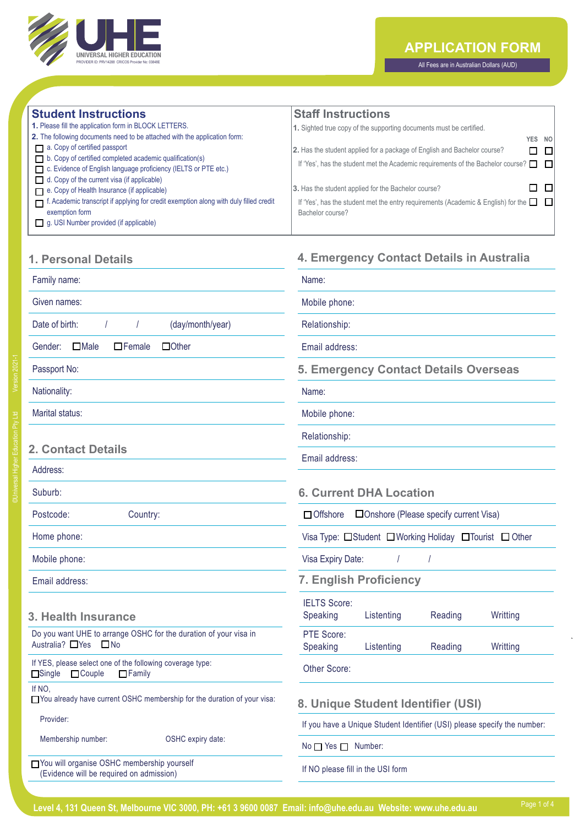

## **APPLICATION FORM**

All Fees are in Australian Dollars (AUD)

**4. Emergency Contact Details in Australia**

| <b>Student Instructions</b>                                                           | <b>Staff Instructions</b>                                                                |
|---------------------------------------------------------------------------------------|------------------------------------------------------------------------------------------|
| 1. Please fill the application form in BLOCK LETTERS.                                 | 1. Sighted true copy of the supporting documents must be certified.                      |
| 2. The following documents need to be attached with the application form:             | YES NO                                                                                   |
| a. Copy of certified passport                                                         | 2. Has the student applied for a package of English and Bachelor course?<br>$\Box$       |
| b. Copy of certified completed academic qualification(s)                              | If 'Yes', has the student met the Academic requirements of the Bachelor course?<br>. El  |
| C. Evidence of English language proficiency (IELTS or PTE etc.)                       |                                                                                          |
| $\Box$ d. Copy of the current visa (if applicable)                                    |                                                                                          |
| e. Copy of Health Insurance (if applicable)                                           | 3. Has the student applied for the Bachelor course?                                      |
| f. Academic transcript if applying for credit exemption along with duly filled credit | If 'Yes', has the student met the entry requirements (Academic & English) for the $\Box$ |
| exemption form                                                                        | Bachelor course?                                                                         |
| $\Box$ g. USI Number provided (if applicable)                                         |                                                                                          |

## **1. Personal Details**

| Family name:                                                                                                 | Name:                                                                    |  |
|--------------------------------------------------------------------------------------------------------------|--------------------------------------------------------------------------|--|
| Given names:                                                                                                 | Mobile phone:                                                            |  |
| (day/month/year)<br>Date of birth:<br>$\overline{1}$                                                         | Relationship:                                                            |  |
| $\Box$ Other<br>$\Box$ Male<br>$\Box$ Female<br>Gender:                                                      | Email address:                                                           |  |
| Passport No:                                                                                                 | 5. Emergency Contact Details Overseas                                    |  |
| Nationality:                                                                                                 | Name:                                                                    |  |
| Marital status:                                                                                              | Mobile phone:                                                            |  |
|                                                                                                              | Relationship:                                                            |  |
| <b>2. Contact Details</b>                                                                                    | Email address:                                                           |  |
| Address:<br>Suburb:                                                                                          | <b>6. Current DHA Location</b>                                           |  |
| Postcode:<br>Country:                                                                                        | □ Onshore (Please specify current Visa)<br>$\Box$ Offshore               |  |
| Home phone:                                                                                                  | Visa Type: □Student □Working Holiday □Tourist □ Other                    |  |
| Mobile phone:                                                                                                | Visa Expiry Date:                                                        |  |
| Email address:                                                                                               | <b>7. English Proficiency</b>                                            |  |
| 3. Health Insurance                                                                                          | <b>IELTS Score:</b><br>Speaking<br>Listenting<br>Reading<br>Writting     |  |
| Do you want UHE to arrange OSHC for the duration of your visa in<br>Australia? □ Yes □ No                    | PTE Score:<br>Speaking<br>Writting<br>Listenting<br>Reading              |  |
| If YES, please select one of the following coverage type:<br>$\Box$ Single<br>$\Box$ Couple<br>$\Box$ Family | Other Score:                                                             |  |
| If NO.<br>□ You already have current OSHC membership for the duration of your visa:                          | 8. Unique Student Identifier (USI)                                       |  |
| Provider:                                                                                                    | If you have a Unique Student Identifier (USI) please specify the number: |  |
| Membership number:<br>OSHC expiry date:                                                                      | $No \frown Yes \frown$ Number:                                           |  |
| You will organise OSHC membership yourself<br>(Evidence will be required on admission)                       | If NO please fill in the USI form                                        |  |

Ptv Ltd

 **Level 4, 131 Queen St, Melbourne VIC 3000, PH: +61 3 9600 0087 Email: info@uhe.edu.au Website: www.uhe.edu.au**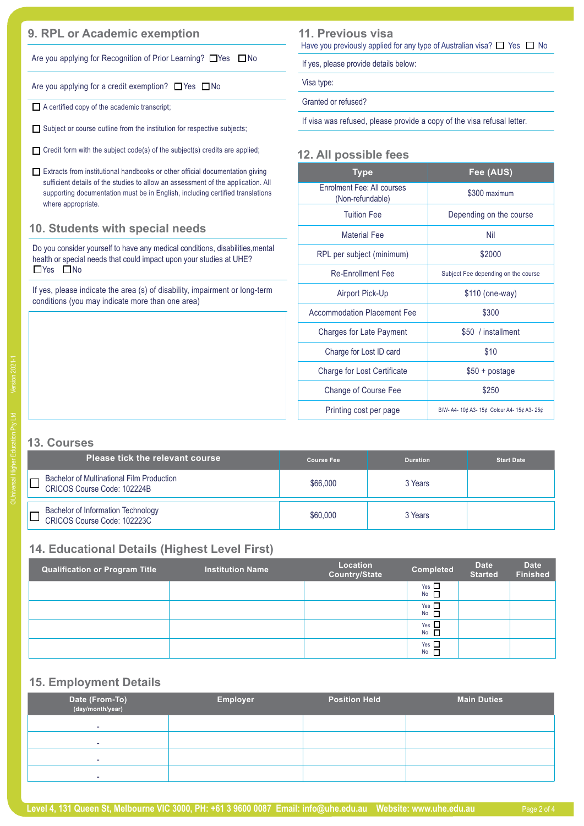# **9. RPL or Academic exemption 11. Previous visa**

Are you applying for Recognition of Prior Learning?  $\Box$  Yes  $\Box$  No

Are you applying for a credit exemption?  $\Box$  Yes  $\Box$  No

■ A certified copy of the academic transcript;

 $\Box$  Subject or course outline from the institution for respective subjects;

Credit form with the subject code(s) of the subject(s) credits are applied;

Extracts from institutional handbooks or other official documentation giving sufficient details of the studies to allow an assessment of the application. All supporting documentation must be in English, including certified translations where appropriate.

### **10. Students with special needs**

Do you consider yourself to have any medical conditions, disabilities,mental health or special needs that could impact upon your studies at UHE?  $\Box$ Yes  $\Box$ No

If yes, please indicate the area (s) of disability, impairment or long-term conditions (you may indicate more than one area)

**11. Previous visa** Have you previously applied for any type of Australian visa?  $\Box$  Yes  $\Box$  No

If yes, please provide details below:

Visa type:

Granted or refused?

If visa was refused, please provide a copy of the visa refusal letter.

#### **12. All possible fees**

| Type                                           | Fee (AUS)                                   |
|------------------------------------------------|---------------------------------------------|
| Enrolment Fee: All courses<br>(Non-refundable) | \$300 maximum                               |
| <b>Tuition Fee</b>                             | Depending on the course                     |
| <b>Material Fee</b>                            | Nil                                         |
| RPL per subject (minimum)                      | \$2000                                      |
| <b>Re-Fnrollment Fee</b>                       | Subject Fee depending on the course         |
| Airport Pick-Up                                | \$110 (one-way)                             |
| <b>Accommodation Placement Fee</b>             | \$300                                       |
| Charges for Late Payment                       | \$50 / installment                          |
| Charge for Lost ID card                        | \$10                                        |
| Charge for Lost Certificate                    | $$50 + postage$                             |
| Change of Course Fee                           | \$250                                       |
| Printing cost per page                         | B/W- A4- 10¢ A3- 15¢ Colour A4- 15¢ A3- 25¢ |

## **13. Courses**

| <b>Please tick the relevant course</b>                                   | <b>Course Fee</b> | <b>Duration</b> | <b>Start Date</b> |
|--------------------------------------------------------------------------|-------------------|-----------------|-------------------|
| Bachelor of Multinational Film Production<br>CRICOS Course Code: 102224B | \$66,000          | 3 Years         |                   |
| Bachelor of Information Technology<br>CRICOS Course Code: 102223C        | \$60,000          | 3 Years         |                   |

## **14. Educational Details (Highest Level First)**

| <b>Qualification or Program Title</b> | <b>Institution Name</b> | Location<br>Country/State | <b>Completed</b> | <b>Date</b><br><b>Started</b> | <b>Date</b><br><b>Finished</b> |
|---------------------------------------|-------------------------|---------------------------|------------------|-------------------------------|--------------------------------|
|                                       |                         |                           | Yes $\Box$<br>No |                               |                                |
|                                       |                         |                           | Yes $\Box$<br>No |                               |                                |
|                                       |                         |                           | Yes $\Box$<br>No |                               |                                |
|                                       |                         |                           | Yes $\Box$<br>No |                               |                                |

### **15. Employment Details**

| Date (From-To)<br>(day/month/year) | <b>Employer</b> | <b>Position Held</b> | <b>Main Duties</b> |
|------------------------------------|-----------------|----------------------|--------------------|
| ۰                                  |                 |                      |                    |
| -                                  |                 |                      |                    |
|                                    |                 |                      |                    |
|                                    |                 |                      |                    |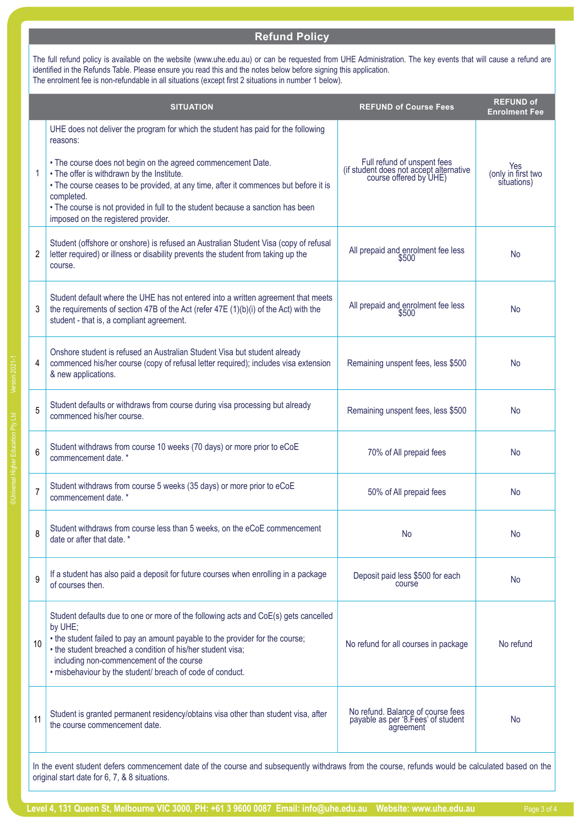#### **PH: +61 3 9600 0087 Fax: +61 3 9642 1470 Email: admissions@XXXXX Website: www.wli.sa.edu.au Refund Policy**

The full refund policy is available on the website (www.uhe.edu.au) or can be requested from UHE Administration. The key events that will cause a refund are identified in the Refunds Table. Please ensure you read this and the notes below before signing this application. The enrolment fee is non-refundable in all situations (except first 2 situations in number 1 below).

|                | <b>SITUATION</b>                                                                                                                                                                                                                                                                                                                                                                                                                            | <b>REFUND of Course Fees</b>                                                                     | <b>REFUND of</b><br><b>Enrolment Fee</b> |
|----------------|---------------------------------------------------------------------------------------------------------------------------------------------------------------------------------------------------------------------------------------------------------------------------------------------------------------------------------------------------------------------------------------------------------------------------------------------|--------------------------------------------------------------------------------------------------|------------------------------------------|
| 1              | UHE does not deliver the program for which the student has paid for the following<br>reasons:<br>• The course does not begin on the agreed commencement Date.<br>. The offer is withdrawn by the Institute.<br>. The course ceases to be provided, at any time, after it commences but before it is<br>completed.<br>• The course is not provided in full to the student because a sanction has been<br>imposed on the registered provider. | Full refund of unspent fees<br>(if student does not accept alternative<br>course offered by UHE) | Yes<br>(only in first two<br>situations) |
| 2              | Student (offshore or onshore) is refused an Australian Student Visa (copy of refusal<br>letter required) or illness or disability prevents the student from taking up the<br>course.                                                                                                                                                                                                                                                        | All prepaid and enrolment fee less<br>\$500                                                      | No                                       |
| 3              | Student default where the UHE has not entered into a written agreement that meets<br>the requirements of section 47B of the Act (refer 47E (1)(b)(i) of the Act) with the<br>student - that is, a compliant agreement.                                                                                                                                                                                                                      | All prepaid and enrolment fee less<br>\$500                                                      | <b>No</b>                                |
| 4              | Onshore student is refused an Australian Student Visa but student already<br>commenced his/her course (copy of refusal letter required); includes visa extension<br>& new applications.                                                                                                                                                                                                                                                     | Remaining unspent fees, less \$500                                                               | <b>No</b>                                |
| 5              | Student defaults or withdraws from course during visa processing but already<br>commenced his/her course.                                                                                                                                                                                                                                                                                                                                   | Remaining unspent fees, less \$500                                                               | <b>No</b>                                |
| 6              | Student withdraws from course 10 weeks (70 days) or more prior to eCoE<br>commencement date. *                                                                                                                                                                                                                                                                                                                                              | 70% of All prepaid fees                                                                          | <b>No</b>                                |
| $\overline{7}$ | Student withdraws from course 5 weeks (35 days) or more prior to eCoE<br>commencement date. *                                                                                                                                                                                                                                                                                                                                               | 50% of All prepaid fees                                                                          | <b>No</b>                                |
| 8              | Student withdraws from course less than 5 weeks, on the eCoE commencement<br>date or after that date. *                                                                                                                                                                                                                                                                                                                                     | No                                                                                               | No                                       |
| 9              | If a student has also paid a deposit for future courses when enrolling in a package<br>of courses then.                                                                                                                                                                                                                                                                                                                                     | Deposit paid less \$500 for each<br>course                                                       | <b>No</b>                                |
| 10             | Student defaults due to one or more of the following acts and CoE(s) gets cancelled<br>by UHE;<br>• the student failed to pay an amount payable to the provider for the course;<br>• the student breached a condition of his/her student visa;<br>including non-commencement of the course<br>· misbehaviour by the student/ breach of code of conduct.                                                                                     | No refund for all courses in package                                                             | No refund                                |
| 11             | Student is granted permanent residency/obtains visa other than student visa, after<br>the course commencement date.                                                                                                                                                                                                                                                                                                                         | No refund. Balance of course fees<br>payable as per '8.Fees' of student<br>agreement             | No                                       |
|                | In the event student defers commencement date of the course and subsequently withdraws from the course, refunds would be calculated based on the                                                                                                                                                                                                                                                                                            |                                                                                                  |                                          |

©Universal Higher Education Pty Ltd Version 2021-1

original start date for 6, 7, & 8 situations.